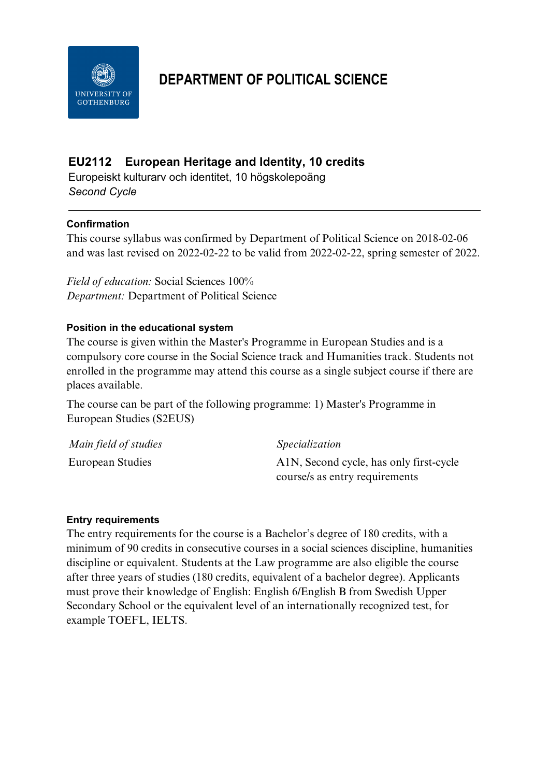

# **DEPARTMENT OF POLITICAL SCIENCE**

# **EU2112 European Heritage and Identity, 10 credits**

Europeiskt kulturarv och identitet, 10 högskolepoäng *Second Cycle*

#### **Confirmation**

This course syllabus was confirmed by Department of Political Science on 2018-02-06 and was last revised on 2022-02-22 to be valid from 2022-02-22, spring semester of 2022.

*Field of education:* Social Sciences 100% *Department:* Department of Political Science

#### **Position in the educational system**

The course is given within the Master's Programme in European Studies and is a compulsory core course in the Social Science track and Humanities track. Students not enrolled in the programme may attend this course as a single subject course if there are places available.

The course can be part of the following programme: 1) Master's Programme in European Studies (S2EUS)

| Main field of studies | Specialization                          |
|-----------------------|-----------------------------------------|
| European Studies      | A1N, Second cycle, has only first-cycle |
|                       | course/s as entry requirements          |

#### **Entry requirements**

The entry requirements for the course is a Bachelor's degree of 180 credits, with a minimum of 90 credits in consecutive courses in a social sciences discipline, humanities discipline or equivalent. Students at the Law programme are also eligible the course after three years of studies (180 credits, equivalent of a bachelor degree). Applicants must prove their knowledge of English: English 6/English B from Swedish Upper Secondary School or the equivalent level of an internationally recognized test, for example TOEFL, IELTS.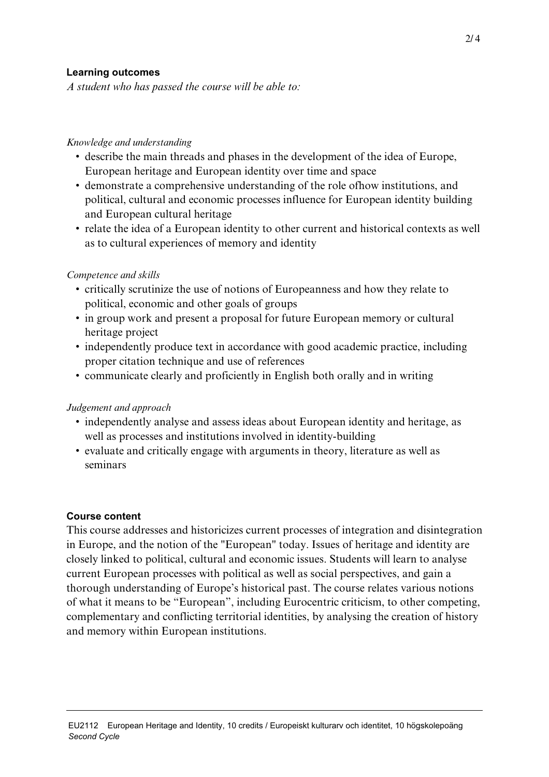#### **Learning outcomes**

*A student who has passed the course will be able to:*

#### *Knowledge and understanding*

- describe the main threads and phases in the development of the idea of Europe, European heritage and European identity over time and space
- demonstrate a comprehensive understanding of the role ofhow institutions, and political, cultural and economic processes influence for European identity building and European cultural heritage
- relate the idea of a European identity to other current and historical contexts as well as to cultural experiences of memory and identity

#### *Competence and skills*

- critically scrutinize the use of notions of Europeanness and how they relate to political, economic and other goals of groups
- in group work and present a proposal for future European memory or cultural heritage project
- independently produce text in accordance with good academic practice, including proper citation technique and use of references
- communicate clearly and proficiently in English both orally and in writing

#### *Judgement and approach*

- independently analyse and assess ideas about European identity and heritage, as well as processes and institutions involved in identity-building
- evaluate and critically engage with arguments in theory, literature as well as seminars

#### **Course content**

This course addresses and historicizes current processes of integration and disintegration in Europe, and the notion of the "European" today. Issues of heritage and identity are closely linked to political, cultural and economic issues. Students will learn to analyse current European processes with political as well as social perspectives, and gain a thorough understanding of Europe's historical past. The course relates various notions of what it means to be "European", including Eurocentric criticism, to other competing, complementary and conflicting territorial identities, by analysing the creation of history and memory within European institutions.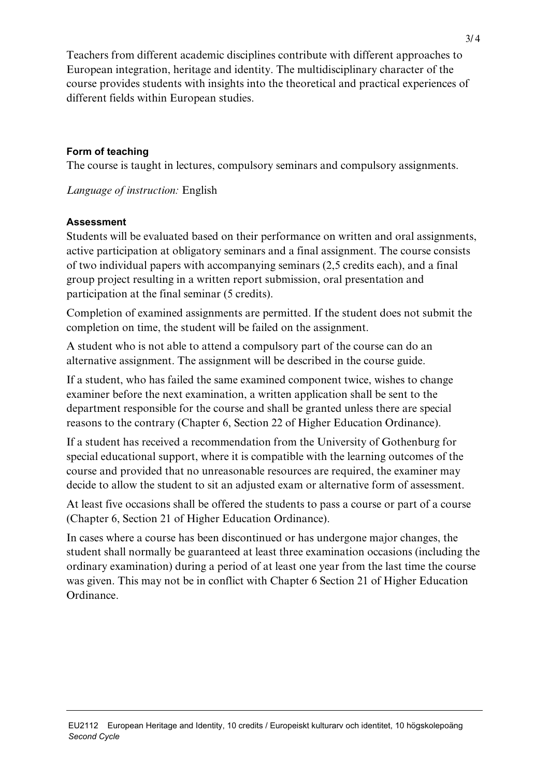Teachers from different academic disciplines contribute with different approaches to European integration, heritage and identity. The multidisciplinary character of the course provides students with insights into the theoretical and practical experiences of different fields within European studies.

# **Form of teaching**

The course is taught in lectures, compulsory seminars and compulsory assignments.

*Language of instruction:* English

# **Assessment**

Students will be evaluated based on their performance on written and oral assignments, active participation at obligatory seminars and a final assignment. The course consists of two individual papers with accompanying seminars (2,5 credits each), and a final group project resulting in a written report submission, oral presentation and participation at the final seminar (5 credits).

Completion of examined assignments are permitted. If the student does not submit the completion on time, the student will be failed on the assignment.

A student who is not able to attend a compulsory part of the course can do an alternative assignment. The assignment will be described in the course guide.

If a student, who has failed the same examined component twice, wishes to change examiner before the next examination, a written application shall be sent to the department responsible for the course and shall be granted unless there are special reasons to the contrary (Chapter 6, Section 22 of Higher Education Ordinance).

If a student has received a recommendation from the University of Gothenburg for special educational support, where it is compatible with the learning outcomes of the course and provided that no unreasonable resources are required, the examiner may decide to allow the student to sit an adjusted exam or alternative form of assessment.

At least five occasions shall be offered the students to pass a course or part of a course (Chapter 6, Section 21 of Higher Education Ordinance).

In cases where a course has been discontinued or has undergone major changes, the student shall normally be guaranteed at least three examination occasions (including the ordinary examination) during a period of at least one year from the last time the course was given. This may not be in conflict with Chapter 6 Section 21 of Higher Education Ordinance.